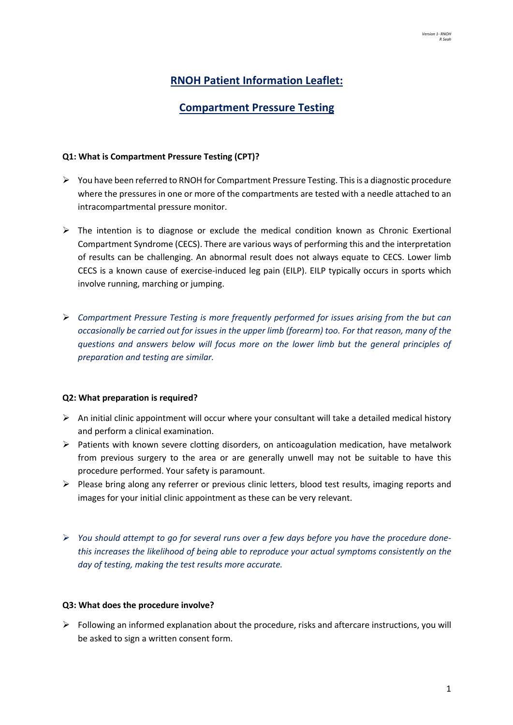# **RNOH Patient Information Leaflet:**

## **Compartment Pressure Testing**

### **Q1: What is Compartment Pressure Testing (CPT)?**

- $\triangleright$  You have been referred to RNOH for Compartment Pressure Testing. This is a diagnostic procedure where the pressures in one or more of the compartments are tested with a needle attached to an intracompartmental pressure monitor.
- $\triangleright$  The intention is to diagnose or exclude the medical condition known as Chronic Exertional Compartment Syndrome (CECS). There are various ways of performing this and the interpretation of results can be challenging. An abnormal result does not always equate to CECS. Lower limb CECS is a known cause of exercise-induced leg pain (EILP). EILP typically occurs in sports which involve running, marching or jumping.
- Ø *Compartment Pressure Testing is more frequently performed for issues arising from the but can occasionally be carried out for issues in the upper limb (forearm) too. For that reason, many of the questions and answers below will focus more on the lower limb but the general principles of preparation and testing are similar.*

#### **Q2: What preparation is required?**

- $\triangleright$  An initial clinic appointment will occur where your consultant will take a detailed medical history and perform a clinical examination.
- $\triangleright$  Patients with known severe clotting disorders, on anticoagulation medication, have metalwork from previous surgery to the area or are generally unwell may not be suitable to have this procedure performed. Your safety is paramount.
- $\triangleright$  Please bring along any referrer or previous clinic letters, blood test results, imaging reports and images for your initial clinic appointment as these can be very relevant.
- Ø *You should attempt to go for several runs over a few days before you have the procedure donethis increases the likelihood of being able to reproduce your actual symptoms consistently on the day of testing, making the test results more accurate.*

#### **Q3: What does the procedure involve?**

 $\triangleright$  Following an informed explanation about the procedure, risks and aftercare instructions, you will be asked to sign a written consent form.